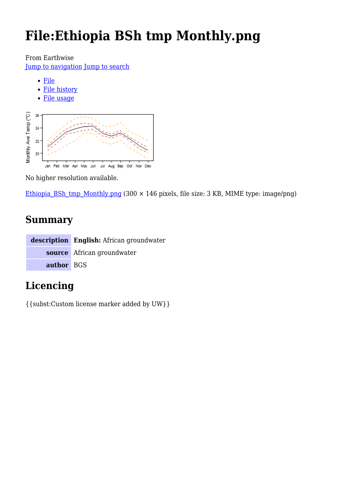# **File:Ethiopia BSh tmp Monthly.png**

From Earthwise

[Jump to navigation](#page--1-0) [Jump to search](#page--1-0)

- [File](#page--1-0)
- [File history](#page--1-0)
- [File usage](#page--1-0)



No higher resolution available.

Ethiopia BSh tmp\_Monthly.png (300  $\times$  146 pixels, file size: 3 KB, MIME type: image/png)

# **Summary**

|            | description English: African groundwater |
|------------|------------------------------------------|
|            | source African groundwater               |
| author BGS |                                          |

# **Licencing**

{{subst:Custom license marker added by UW}}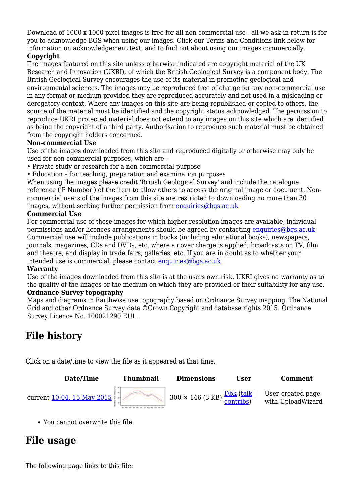Download of 1000 x 1000 pixel images is free for all non-commercial use - all we ask in return is for you to acknowledge BGS when using our images. Click our Terms and Conditions link below for information on acknowledgement text, and to find out about using our images commercially.

#### **Copyright**

The images featured on this site unless otherwise indicated are copyright material of the UK Research and Innovation (UKRI), of which the British Geological Survey is a component body. The British Geological Survey encourages the use of its material in promoting geological and environmental sciences. The images may be reproduced free of charge for any non-commercial use in any format or medium provided they are reproduced accurately and not used in a misleading or derogatory context. Where any images on this site are being republished or copied to others, the source of the material must be identified and the copyright status acknowledged. The permission to reproduce UKRI protected material does not extend to any images on this site which are identified as being the copyright of a third party. Authorisation to reproduce such material must be obtained from the copyright holders concerned.

#### **Non-commercial Use**

Use of the images downloaded from this site and reproduced digitally or otherwise may only be used for non-commercial purposes, which are:-

- Private study or research for a non-commercial purpose
- Education for teaching, preparation and examination purposes

When using the images please credit 'British Geological Survey' and include the catalogue reference ('P Number') of the item to allow others to access the original image or document. Noncommercial users of the images from this site are restricted to downloading no more than 30 images, without seeking further permission from [enquiries@bgs.ac.uk](mailto:enquiries@bgs.ac.uk)

#### **Commercial Use**

For commercial use of these images for which higher resolution images are available, individual permissions and/or licences arrangements should be agreed by contacting [enquiries@bgs.ac.uk](mailto:enquiries@bgs.ac.uk) Commercial use will include publications in books (including educational books), newspapers, journals, magazines, CDs and DVDs, etc, where a cover charge is applied; broadcasts on TV, film and theatre; and display in trade fairs, galleries, etc. If you are in doubt as to whether your intended use is commercial, please contact [enquiries@bgs.ac.uk](mailto:enquiries@bgs.ac.uk)

#### **Warranty**

Use of the images downloaded from this site is at the users own risk. UKRI gives no warranty as to the quality of the images or the medium on which they are provided or their suitability for any use. **Ordnance Survey topography**

Maps and diagrams in Earthwise use topography based on Ordnance Survey mapping. The National Grid and other Ordnance Survey data ©Crown Copyright and database rights 2015. Ordnance Survey Licence No. 100021290 EUL.

# **File history**

Click on a date/time to view the file as it appeared at that time.



You cannot overwrite this file.

# **File usage**

The following page links to this file: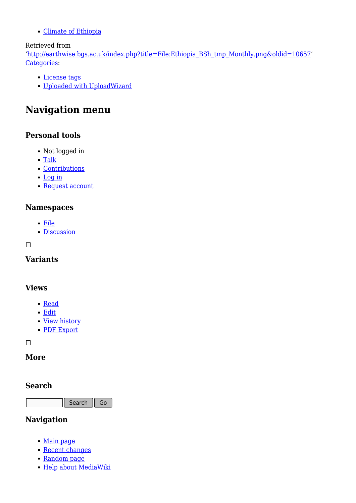[Climate of Ethiopia](http://earthwise.bgs.ac.uk/index.php/Climate_of_Ethiopia)

### Retrieved from

'[http://earthwise.bgs.ac.uk/index.php?title=File:Ethiopia\\_BSh\\_tmp\\_Monthly.png&oldid=10657](http://earthwise.bgs.ac.uk/index.php?title=File:Ethiopia_BSh_tmp_Monthly.png&oldid=10657)' [Categories:](http://earthwise.bgs.ac.uk/index.php/Special:Categories)

- [License tags](http://earthwise.bgs.ac.uk/index.php/Category:License_tags)
- [Uploaded with UploadWizard](http://earthwise.bgs.ac.uk/index.php/Category:Uploaded_with_UploadWizard)

# **Navigation menu**

### **Personal tools**

- Not logged in
- [Talk](http://earthwise.bgs.ac.uk/index.php/Special:MyTalk)
- [Contributions](http://earthwise.bgs.ac.uk/index.php/Special:MyContributions)
- [Log in](http://earthwise.bgs.ac.uk/index.php?title=Special:UserLogin&returnto=File%3AEthiopia+BSh+tmp+Monthly.png&returntoquery=action%3Dmpdf)
- [Request account](http://earthwise.bgs.ac.uk/index.php/Special:RequestAccount)

### **Namespaces**

- [File](http://earthwise.bgs.ac.uk/index.php/File:Ethiopia_BSh_tmp_Monthly.png)
- [Discussion](http://earthwise.bgs.ac.uk/index.php?title=File_talk:Ethiopia_BSh_tmp_Monthly.png&action=edit&redlink=1)

#### $\Box$

**Variants**

### **Views**

- [Read](http://earthwise.bgs.ac.uk/index.php/File:Ethiopia_BSh_tmp_Monthly.png)
- [Edit](http://earthwise.bgs.ac.uk/index.php?title=File:Ethiopia_BSh_tmp_Monthly.png&action=edit)
- [View history](http://earthwise.bgs.ac.uk/index.php?title=File:Ethiopia_BSh_tmp_Monthly.png&action=history)
- [PDF Export](http://earthwise.bgs.ac.uk/index.php?title=File:Ethiopia_BSh_tmp_Monthly.png&action=mpdf)

 $\Box$ 

### **More**

### **Search**

Search Go

### **Navigation**

- [Main page](http://earthwise.bgs.ac.uk/index.php/Main_Page)
- [Recent changes](http://earthwise.bgs.ac.uk/index.php/Special:RecentChanges)
- [Random page](http://earthwise.bgs.ac.uk/index.php/Special:Random)
- [Help about MediaWiki](https://www.mediawiki.org/wiki/Special:MyLanguage/Help:Contents)